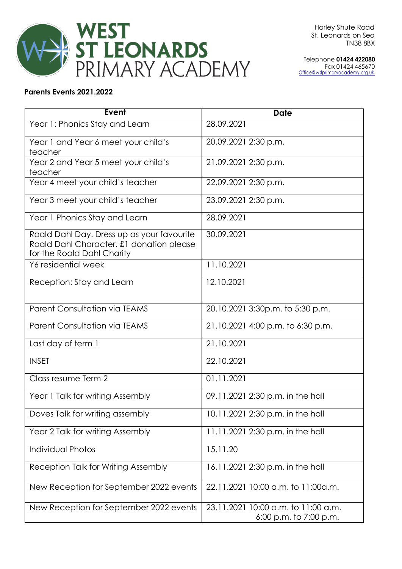

Telephone **01424 422080** Fax 01424 465670 [Office@wslprimaryacademy.org.uk](mailto:Office@wslprimaryacademy.org.uk)

## **Parents Events 2021.2022**

| Event                                                                                                                | <b>Date</b>                                                   |
|----------------------------------------------------------------------------------------------------------------------|---------------------------------------------------------------|
| Year 1: Phonics Stay and Learn                                                                                       | 28.09.2021                                                    |
| Year 1 and Year 6 meet your child's<br>teacher                                                                       | 20.09.2021 2:30 p.m.                                          |
| Year 2 and Year 5 meet your child's<br>teacher                                                                       | 21.09.2021 2:30 p.m.                                          |
| Year 4 meet your child's teacher                                                                                     | 22.09.2021 2:30 p.m.                                          |
| Year 3 meet your child's teacher                                                                                     | 23.09.2021 2:30 p.m.                                          |
| Year 1 Phonics Stay and Learn                                                                                        | 28.09.2021                                                    |
| Roald Dahl Day. Dress up as your favourite<br>Roald Dahl Character. £1 donation please<br>for the Roald Dahl Charity | 30.09.2021                                                    |
| Y6 residential week                                                                                                  | 11.10.2021                                                    |
| Reception: Stay and Learn                                                                                            | 12.10.2021                                                    |
| <b>Parent Consultation via TEAMS</b>                                                                                 | 20.10.2021 3:30p.m. to 5:30 p.m.                              |
| <b>Parent Consultation via TEAMS</b>                                                                                 | 21.10.2021 4:00 p.m. to 6:30 p.m.                             |
| Last day of term 1                                                                                                   | 21.10.2021                                                    |
| <b>INSET</b>                                                                                                         | 22.10.2021                                                    |
| Class resume Term 2                                                                                                  | 01.11.2021                                                    |
| Year 1 Talk for writing Assembly                                                                                     | 09.11.2021 2:30 p.m. in the hall                              |
| Doves Talk for writing assembly                                                                                      | 10.11.2021 2:30 p.m. in the hall                              |
| Year 2 Talk for writing Assembly                                                                                     | 11.11.2021 2:30 p.m. in the hall                              |
| <b>Individual Photos</b>                                                                                             | 15.11.20                                                      |
| Reception Talk for Writing Assembly                                                                                  | 16.11.2021 2:30 p.m. in the hall                              |
| New Reception for September 2022 events                                                                              | 22.11.2021 10:00 a.m. to 11:00a.m.                            |
| New Reception for September 2022 events                                                                              | 23.11.2021 10:00 a.m. to 11:00 a.m.<br>6:00 p.m. to 7:00 p.m. |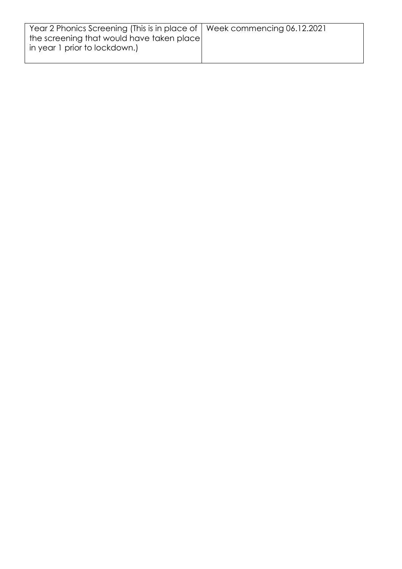| Year 2 Phonics Screening (This is in place of   Week commencing 06.12.2021) |  |
|-----------------------------------------------------------------------------|--|
| the screening that would have taken place                                   |  |
| in year 1 prior to lockdown.)                                               |  |
|                                                                             |  |
|                                                                             |  |